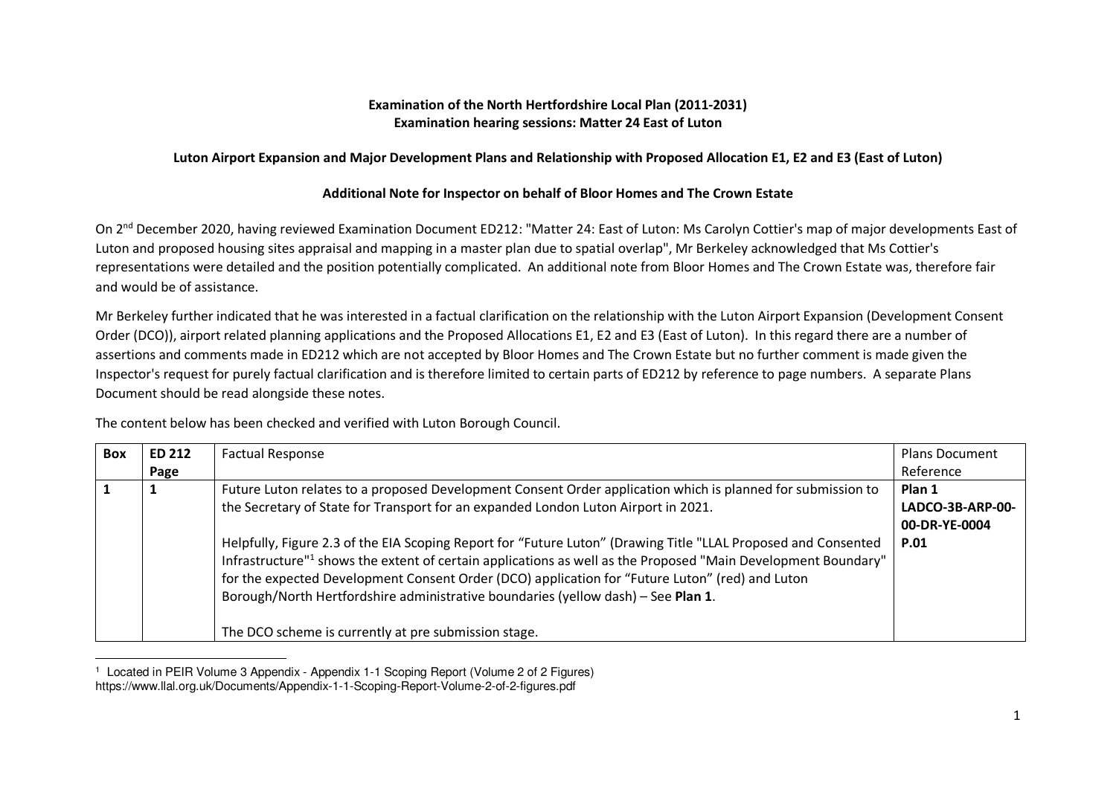## **Examination of the North Hertfordshire Local Plan (2011-2031) Examination hearing sessions: Matter 24 East of Luton**

## **Luton Airport Expansion and Major Development Plans and Relationship with Proposed Allocation E1, E2 and E3 (East of Luton)**

## **Additional Note for Inspector on behalf of Bloor Homes and The Crown Estate**

On 2<sup>nd</sup> December 2020, having reviewed Examination Document ED212: "Matter 24: East of Luton: Ms Carolyn Cottier's map of major developments East of Luton and proposed housing sites appraisal and mapping in a master plan due to spatial overlap", Mr Berkeley acknowledged that Ms Cottier's representations were detailed and the position potentially complicated. An additional note from Bloor Homes and The Crown Estate was, therefore fair and would be of assistance.

Mr Berkeley further indicated that he was interested in a factual clarification on the relationship with the Luton Airport Expansion (Development ConsentOrder (DCO)), airport related planning applications and the Proposed Allocations E1, E2 and E3 (East of Luton). In this regard there are a number of assertions and comments made in ED212 which are not accepted by Bloor Homes and The Crown Estate but no further comment is made given the Inspector's request for purely factual clarification and is therefore limited to certain parts of ED212 by reference to page numbers. A separate Plans Document should be read alongside these notes.

The content below has been checked and verified with Luton Borough Council.

| <b>Box</b> | <b>ED 212</b> | <b>Factual Response</b>                                                                                                   | <b>Plans Document</b> |
|------------|---------------|---------------------------------------------------------------------------------------------------------------------------|-----------------------|
|            | Page          |                                                                                                                           | Reference             |
|            | 1             | Future Luton relates to a proposed Development Consent Order application which is planned for submission to               | Plan 1                |
|            |               | the Secretary of State for Transport for an expanded London Luton Airport in 2021.                                        | LADCO-3B-ARP-00-      |
|            |               |                                                                                                                           | 00-DR-YE-0004         |
|            |               | Helpfully, Figure 2.3 of the EIA Scoping Report for "Future Luton" (Drawing Title "LLAL Proposed and Consented            | <b>P.01</b>           |
|            |               | Infrastructure" <sup>1</sup> shows the extent of certain applications as well as the Proposed "Main Development Boundary" |                       |
|            |               | for the expected Development Consent Order (DCO) application for "Future Luton" (red) and Luton                           |                       |
|            |               | Borough/North Hertfordshire administrative boundaries (yellow dash) - See Plan 1.                                         |                       |
|            |               |                                                                                                                           |                       |
|            |               | The DCO scheme is currently at pre submission stage.                                                                      |                       |

<sup>1</sup> Located in PEIR Volume 3 Appendix - Appendix 1-1 Scoping Report (Volume 2 of 2 Figures) https://www.llal.org.uk/Documents/Appendix-1-1-Scoping-Report-Volume-2-of-2-figures.pdf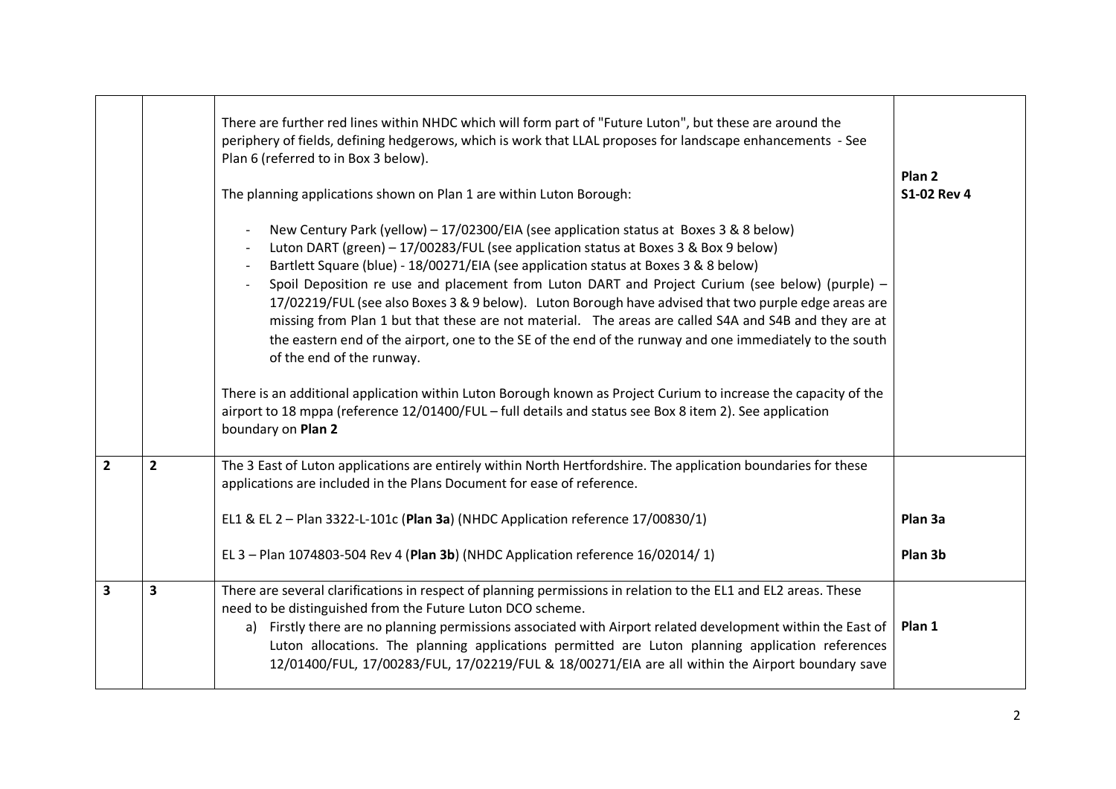|                         |                         | There are further red lines within NHDC which will form part of "Future Luton", but these are around the<br>periphery of fields, defining hedgerows, which is work that LLAL proposes for landscape enhancements - See<br>Plan 6 (referred to in Box 3 below).<br>The planning applications shown on Plan 1 are within Luton Borough:<br>New Century Park (yellow) - 17/02300/EIA (see application status at Boxes 3 & 8 below)<br>Luton DART (green) - 17/00283/FUL (see application status at Boxes 3 & Box 9 below)<br>Bartlett Square (blue) - 18/00271/EIA (see application status at Boxes 3 & 8 below)<br>Spoil Deposition re use and placement from Luton DART and Project Curium (see below) (purple) -<br>17/02219/FUL (see also Boxes 3 & 9 below). Luton Borough have advised that two purple edge areas are<br>missing from Plan 1 but that these are not material. The areas are called S4A and S4B and they are at<br>the eastern end of the airport, one to the SE of the end of the runway and one immediately to the south<br>of the end of the runway.<br>There is an additional application within Luton Borough known as Project Curium to increase the capacity of the<br>airport to 18 mppa (reference 12/01400/FUL - full details and status see Box 8 item 2). See application<br>boundary on Plan 2 | Plan <sub>2</sub><br><b>S1-02 Rev 4</b> |
|-------------------------|-------------------------|-------------------------------------------------------------------------------------------------------------------------------------------------------------------------------------------------------------------------------------------------------------------------------------------------------------------------------------------------------------------------------------------------------------------------------------------------------------------------------------------------------------------------------------------------------------------------------------------------------------------------------------------------------------------------------------------------------------------------------------------------------------------------------------------------------------------------------------------------------------------------------------------------------------------------------------------------------------------------------------------------------------------------------------------------------------------------------------------------------------------------------------------------------------------------------------------------------------------------------------------------------------------------------------------------------------------------------|-----------------------------------------|
| $\overline{2}$          | $\overline{2}$          | The 3 East of Luton applications are entirely within North Hertfordshire. The application boundaries for these<br>applications are included in the Plans Document for ease of reference.                                                                                                                                                                                                                                                                                                                                                                                                                                                                                                                                                                                                                                                                                                                                                                                                                                                                                                                                                                                                                                                                                                                                      |                                         |
|                         |                         | EL1 & EL 2 - Plan 3322-L-101c (Plan 3a) (NHDC Application reference 17/00830/1)                                                                                                                                                                                                                                                                                                                                                                                                                                                                                                                                                                                                                                                                                                                                                                                                                                                                                                                                                                                                                                                                                                                                                                                                                                               | Plan 3a                                 |
|                         |                         | EL 3 - Plan 1074803-504 Rev 4 (Plan 3b) (NHDC Application reference 16/02014/1)                                                                                                                                                                                                                                                                                                                                                                                                                                                                                                                                                                                                                                                                                                                                                                                                                                                                                                                                                                                                                                                                                                                                                                                                                                               | Plan 3b                                 |
| $\overline{\mathbf{3}}$ | $\overline{\mathbf{3}}$ | There are several clarifications in respect of planning permissions in relation to the EL1 and EL2 areas. These<br>need to be distinguished from the Future Luton DCO scheme.<br>a) Firstly there are no planning permissions associated with Airport related development within the East of<br>Luton allocations. The planning applications permitted are Luton planning application references<br>12/01400/FUL, 17/00283/FUL, 17/02219/FUL & 18/00271/EIA are all within the Airport boundary save                                                                                                                                                                                                                                                                                                                                                                                                                                                                                                                                                                                                                                                                                                                                                                                                                          | Plan 1                                  |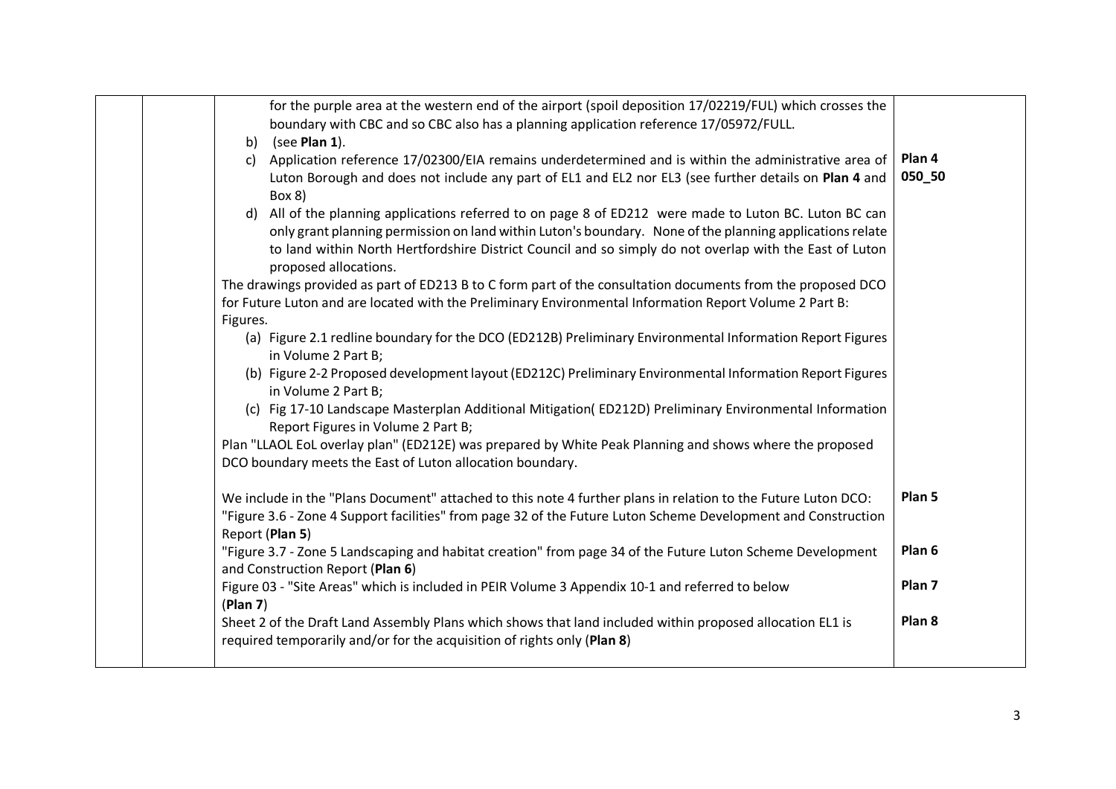|          | for the purple area at the western end of the airport (spoil deposition 17/02219/FUL) which crosses the                                                                                                                                                                                                                                                |                   |
|----------|--------------------------------------------------------------------------------------------------------------------------------------------------------------------------------------------------------------------------------------------------------------------------------------------------------------------------------------------------------|-------------------|
|          | boundary with CBC and so CBC also has a planning application reference 17/05972/FULL.                                                                                                                                                                                                                                                                  |                   |
| b)       | (see Plan $1$ ).                                                                                                                                                                                                                                                                                                                                       |                   |
| C)       | Application reference 17/02300/EIA remains underdetermined and is within the administrative area of                                                                                                                                                                                                                                                    | Plan 4            |
|          | Luton Borough and does not include any part of EL1 and EL2 nor EL3 (see further details on Plan 4 and<br>Box 8)                                                                                                                                                                                                                                        | 050_50            |
|          | d) All of the planning applications referred to on page 8 of ED212 were made to Luton BC. Luton BC can<br>only grant planning permission on land within Luton's boundary. None of the planning applications relate<br>to land within North Hertfordshire District Council and so simply do not overlap with the East of Luton<br>proposed allocations. |                   |
|          | The drawings provided as part of ED213 B to C form part of the consultation documents from the proposed DCO                                                                                                                                                                                                                                            |                   |
|          | for Future Luton and are located with the Preliminary Environmental Information Report Volume 2 Part B:                                                                                                                                                                                                                                                |                   |
| Figures. |                                                                                                                                                                                                                                                                                                                                                        |                   |
|          | (a) Figure 2.1 redline boundary for the DCO (ED212B) Preliminary Environmental Information Report Figures<br>in Volume 2 Part B;                                                                                                                                                                                                                       |                   |
|          | (b) Figure 2-2 Proposed development layout (ED212C) Preliminary Environmental Information Report Figures<br>in Volume 2 Part B;                                                                                                                                                                                                                        |                   |
|          | (c) Fig 17-10 Landscape Masterplan Additional Mitigation (ED212D) Preliminary Environmental Information<br>Report Figures in Volume 2 Part B;                                                                                                                                                                                                          |                   |
|          | Plan "LLAOL EoL overlay plan" (ED212E) was prepared by White Peak Planning and shows where the proposed                                                                                                                                                                                                                                                |                   |
|          | DCO boundary meets the East of Luton allocation boundary.                                                                                                                                                                                                                                                                                              |                   |
|          | We include in the "Plans Document" attached to this note 4 further plans in relation to the Future Luton DCO:<br>"Figure 3.6 - Zone 4 Support facilities" from page 32 of the Future Luton Scheme Development and Construction<br>Report (Plan 5)                                                                                                      | Plan 5            |
|          | "Figure 3.7 - Zone 5 Landscaping and habitat creation" from page 34 of the Future Luton Scheme Development<br>and Construction Report (Plan 6)                                                                                                                                                                                                         | Plan 6            |
| (Plan 7) | Figure 03 - "Site Areas" which is included in PEIR Volume 3 Appendix 10-1 and referred to below                                                                                                                                                                                                                                                        | Plan <sub>7</sub> |
|          | Sheet 2 of the Draft Land Assembly Plans which shows that land included within proposed allocation EL1 is<br>required temporarily and/or for the acquisition of rights only (Plan 8)                                                                                                                                                                   | Plan <sub>8</sub> |
|          |                                                                                                                                                                                                                                                                                                                                                        |                   |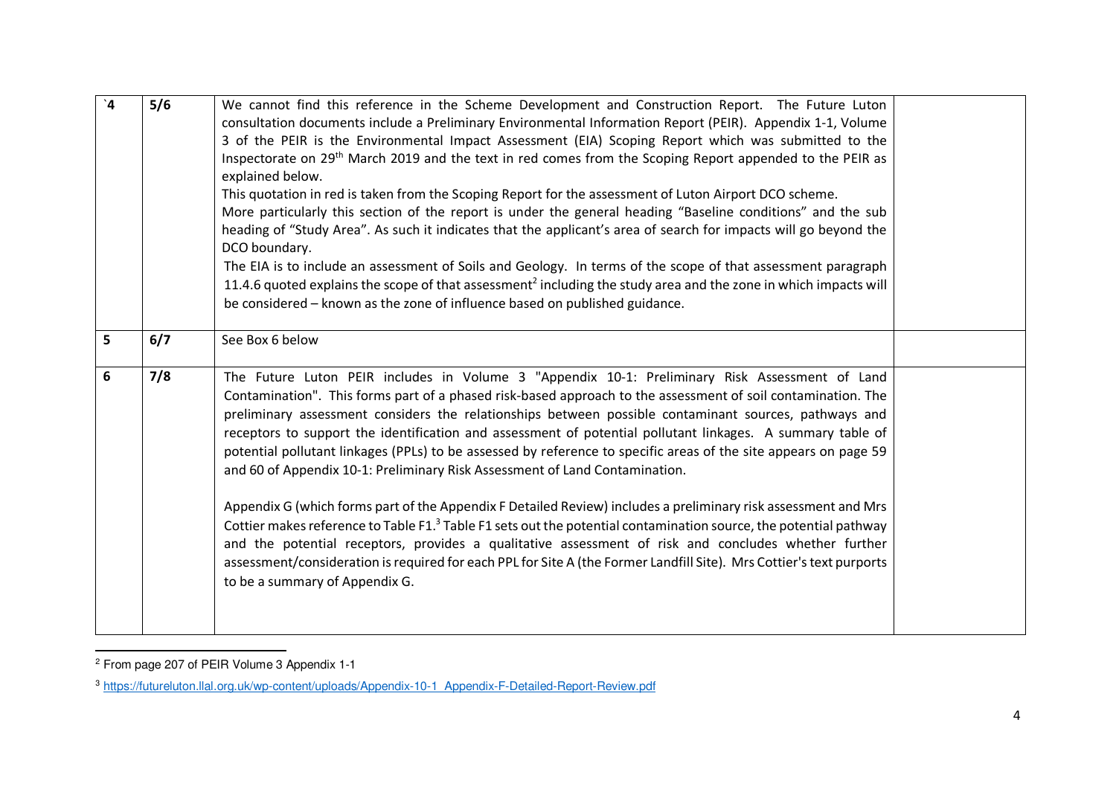| $\mathbf{A}'$ | 5/6 | We cannot find this reference in the Scheme Development and Construction Report. The Future Luton<br>consultation documents include a Preliminary Environmental Information Report (PEIR). Appendix 1-1, Volume<br>3 of the PEIR is the Environmental Impact Assessment (EIA) Scoping Report which was submitted to the<br>Inspectorate on 29 <sup>th</sup> March 2019 and the text in red comes from the Scoping Report appended to the PEIR as<br>explained below.<br>This quotation in red is taken from the Scoping Report for the assessment of Luton Airport DCO scheme.<br>More particularly this section of the report is under the general heading "Baseline conditions" and the sub<br>heading of "Study Area". As such it indicates that the applicant's area of search for impacts will go beyond the<br>DCO boundary.<br>The EIA is to include an assessment of Soils and Geology. In terms of the scope of that assessment paragraph<br>11.4.6 quoted explains the scope of that assessment <sup>2</sup> including the study area and the zone in which impacts will<br>be considered - known as the zone of influence based on published guidance. |  |
|---------------|-----|-------------------------------------------------------------------------------------------------------------------------------------------------------------------------------------------------------------------------------------------------------------------------------------------------------------------------------------------------------------------------------------------------------------------------------------------------------------------------------------------------------------------------------------------------------------------------------------------------------------------------------------------------------------------------------------------------------------------------------------------------------------------------------------------------------------------------------------------------------------------------------------------------------------------------------------------------------------------------------------------------------------------------------------------------------------------------------------------------------------------------------------------------------------------|--|
| 5             | 6/7 | See Box 6 below                                                                                                                                                                                                                                                                                                                                                                                                                                                                                                                                                                                                                                                                                                                                                                                                                                                                                                                                                                                                                                                                                                                                                   |  |
| 6             | 7/8 | The Future Luton PEIR includes in Volume 3 "Appendix 10-1: Preliminary Risk Assessment of Land<br>Contamination". This forms part of a phased risk-based approach to the assessment of soil contamination. The<br>preliminary assessment considers the relationships between possible contaminant sources, pathways and<br>receptors to support the identification and assessment of potential pollutant linkages. A summary table of<br>potential pollutant linkages (PPLs) to be assessed by reference to specific areas of the site appears on page 59<br>and 60 of Appendix 10-1: Preliminary Risk Assessment of Land Contamination.<br>Appendix G (which forms part of the Appendix F Detailed Review) includes a preliminary risk assessment and Mrs<br>Cottier makes reference to Table F1. <sup>3</sup> Table F1 sets out the potential contamination source, the potential pathway<br>and the potential receptors, provides a qualitative assessment of risk and concludes whether further<br>assessment/consideration is required for each PPL for Site A (the Former Landfill Site). Mrs Cottier's text purports<br>to be a summary of Appendix G.     |  |

<sup>&</sup>lt;sup>2</sup> From page 207 of PEIR Volume 3 Appendix 1-1

<sup>3</sup> https://futureluton.llal.org.uk/wp-content/uploads/Appendix-10-1\_Appendix-F-Detailed-Report-Review.pdf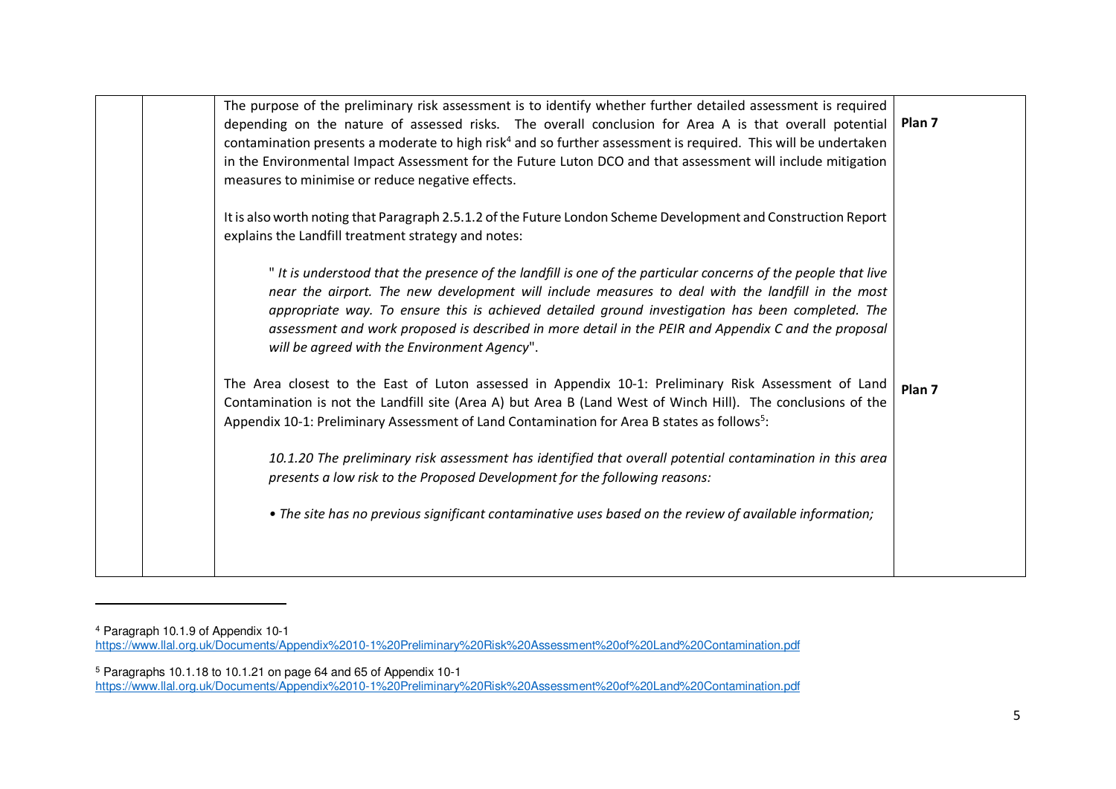|  | The purpose of the preliminary risk assessment is to identify whether further detailed assessment is required<br>depending on the nature of assessed risks. The overall conclusion for Area A is that overall potential<br>contamination presents a moderate to high risk <sup>4</sup> and so further assessment is required. This will be undertaken<br>in the Environmental Impact Assessment for the Future Luton DCO and that assessment will include mitigation<br>measures to minimise or reduce negative effects. | Plan 7            |
|--|--------------------------------------------------------------------------------------------------------------------------------------------------------------------------------------------------------------------------------------------------------------------------------------------------------------------------------------------------------------------------------------------------------------------------------------------------------------------------------------------------------------------------|-------------------|
|  | It is also worth noting that Paragraph 2.5.1.2 of the Future London Scheme Development and Construction Report<br>explains the Landfill treatment strategy and notes:                                                                                                                                                                                                                                                                                                                                                    |                   |
|  | " It is understood that the presence of the landfill is one of the particular concerns of the people that live<br>near the airport. The new development will include measures to deal with the landfill in the most<br>appropriate way. To ensure this is achieved detailed ground investigation has been completed. The<br>assessment and work proposed is described in more detail in the PEIR and Appendix C and the proposal<br>will be agreed with the Environment Agency".                                         |                   |
|  | The Area closest to the East of Luton assessed in Appendix 10-1: Preliminary Risk Assessment of Land<br>Contamination is not the Landfill site (Area A) but Area B (Land West of Winch Hill). The conclusions of the<br>Appendix 10-1: Preliminary Assessment of Land Contamination for Area B states as follows <sup>5</sup> :                                                                                                                                                                                          | Plan <sub>7</sub> |
|  | 10.1.20 The preliminary risk assessment has identified that overall potential contamination in this area<br>presents a low risk to the Proposed Development for the following reasons:                                                                                                                                                                                                                                                                                                                                   |                   |
|  | • The site has no previous significant contaminative uses based on the review of available information;                                                                                                                                                                                                                                                                                                                                                                                                                  |                   |
|  |                                                                                                                                                                                                                                                                                                                                                                                                                                                                                                                          |                   |

<sup>&</sup>lt;sup>4</sup> Paragraph 10.1.9 of Appendix 10-1<br><u>https://www.llal.org.uk/Documents/Appendix%2010-1%20Preliminary%20Risk%20Assessment%20of%20Land%20Contamination.pdf</u>

<sup>&</sup>lt;sup>5</sup> Paragraphs 10.1.18 to 10.1.21 on page 64 and 65 of Appendix 10-1<br>https://www.llal.org.uk/Documents/Appendix%2010-1%20Preliminary%20Risk%20Assessment%20of%20Land%20Contamination.pdf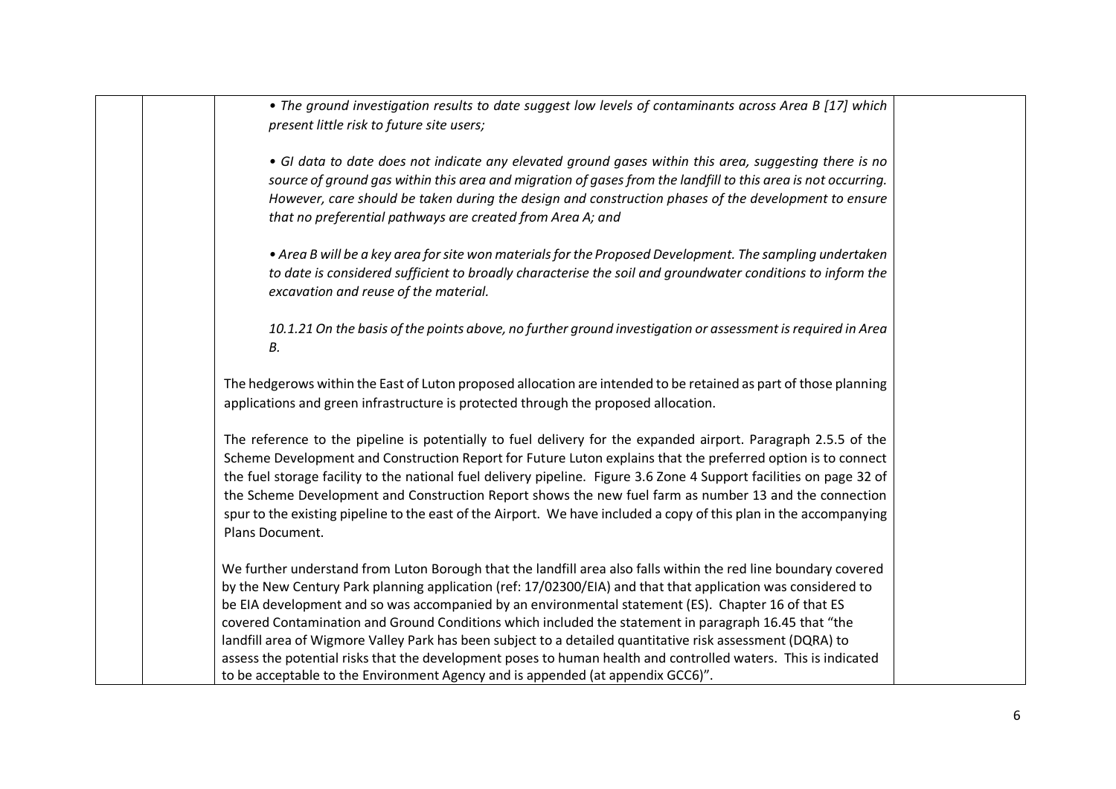| • The ground investigation results to date suggest low levels of contaminants across Area B [17] which<br>present little risk to future site users;                                                                                                                                                                                                                                                                                                                                                                                                                                                                                                                                                                                                                |
|--------------------------------------------------------------------------------------------------------------------------------------------------------------------------------------------------------------------------------------------------------------------------------------------------------------------------------------------------------------------------------------------------------------------------------------------------------------------------------------------------------------------------------------------------------------------------------------------------------------------------------------------------------------------------------------------------------------------------------------------------------------------|
| • GI data to date does not indicate any elevated ground gases within this area, suggesting there is no<br>source of ground gas within this area and migration of gases from the landfill to this area is not occurring.<br>However, care should be taken during the design and construction phases of the development to ensure<br>that no preferential pathways are created from Area A; and                                                                                                                                                                                                                                                                                                                                                                      |
| • Area B will be a key area for site won materials for the Proposed Development. The sampling undertaken<br>to date is considered sufficient to broadly characterise the soil and groundwater conditions to inform the<br>excavation and reuse of the material.                                                                                                                                                                                                                                                                                                                                                                                                                                                                                                    |
| 10.1.21 On the basis of the points above, no further ground investigation or assessment is required in Area<br>В.                                                                                                                                                                                                                                                                                                                                                                                                                                                                                                                                                                                                                                                  |
| The hedgerows within the East of Luton proposed allocation are intended to be retained as part of those planning<br>applications and green infrastructure is protected through the proposed allocation.                                                                                                                                                                                                                                                                                                                                                                                                                                                                                                                                                            |
| The reference to the pipeline is potentially to fuel delivery for the expanded airport. Paragraph 2.5.5 of the<br>Scheme Development and Construction Report for Future Luton explains that the preferred option is to connect<br>the fuel storage facility to the national fuel delivery pipeline. Figure 3.6 Zone 4 Support facilities on page 32 of<br>the Scheme Development and Construction Report shows the new fuel farm as number 13 and the connection<br>spur to the existing pipeline to the east of the Airport. We have included a copy of this plan in the accompanying<br>Plans Document.                                                                                                                                                          |
| We further understand from Luton Borough that the landfill area also falls within the red line boundary covered<br>by the New Century Park planning application (ref: 17/02300/EIA) and that that application was considered to<br>be EIA development and so was accompanied by an environmental statement (ES). Chapter 16 of that ES<br>covered Contamination and Ground Conditions which included the statement in paragraph 16.45 that "the<br>landfill area of Wigmore Valley Park has been subject to a detailed quantitative risk assessment (DQRA) to<br>assess the potential risks that the development poses to human health and controlled waters. This is indicated<br>to be acceptable to the Environment Agency and is appended (at appendix GCC6)". |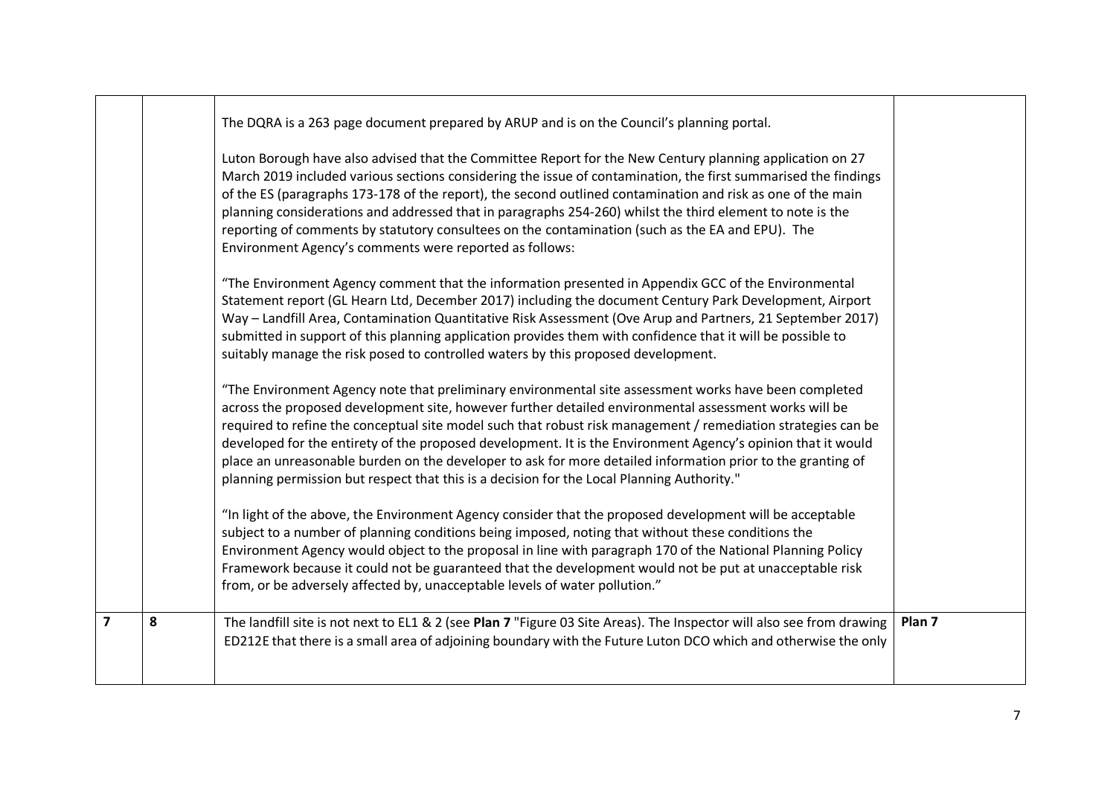|                |   | The DQRA is a 263 page document prepared by ARUP and is on the Council's planning portal.                                                                                                                                                                                                                                                                                                                                                                                                                                                                                                                                                                    |                   |
|----------------|---|--------------------------------------------------------------------------------------------------------------------------------------------------------------------------------------------------------------------------------------------------------------------------------------------------------------------------------------------------------------------------------------------------------------------------------------------------------------------------------------------------------------------------------------------------------------------------------------------------------------------------------------------------------------|-------------------|
|                |   | Luton Borough have also advised that the Committee Report for the New Century planning application on 27<br>March 2019 included various sections considering the issue of contamination, the first summarised the findings<br>of the ES (paragraphs 173-178 of the report), the second outlined contamination and risk as one of the main<br>planning considerations and addressed that in paragraphs 254-260) whilst the third element to note is the<br>reporting of comments by statutory consultees on the contamination (such as the EA and EPU). The<br>Environment Agency's comments were reported as follows:                                        |                   |
|                |   | "The Environment Agency comment that the information presented in Appendix GCC of the Environmental<br>Statement report (GL Hearn Ltd, December 2017) including the document Century Park Development, Airport<br>Way - Landfill Area, Contamination Quantitative Risk Assessment (Ove Arup and Partners, 21 September 2017)<br>submitted in support of this planning application provides them with confidence that it will be possible to<br>suitably manage the risk posed to controlled waters by this proposed development.                                                                                                                             |                   |
|                |   | "The Environment Agency note that preliminary environmental site assessment works have been completed<br>across the proposed development site, however further detailed environmental assessment works will be<br>required to refine the conceptual site model such that robust risk management / remediation strategies can be<br>developed for the entirety of the proposed development. It is the Environment Agency's opinion that it would<br>place an unreasonable burden on the developer to ask for more detailed information prior to the granting of<br>planning permission but respect that this is a decision for the Local Planning Authority." |                   |
|                |   | "In light of the above, the Environment Agency consider that the proposed development will be acceptable<br>subject to a number of planning conditions being imposed, noting that without these conditions the<br>Environment Agency would object to the proposal in line with paragraph 170 of the National Planning Policy<br>Framework because it could not be guaranteed that the development would not be put at unacceptable risk<br>from, or be adversely affected by, unacceptable levels of water pollution."                                                                                                                                       |                   |
| $\overline{7}$ | 8 | The landfill site is not next to EL1 & 2 (see Plan 7 "Figure 03 Site Areas). The Inspector will also see from drawing<br>ED212E that there is a small area of adjoining boundary with the Future Luton DCO which and otherwise the only                                                                                                                                                                                                                                                                                                                                                                                                                      | Plan <sub>7</sub> |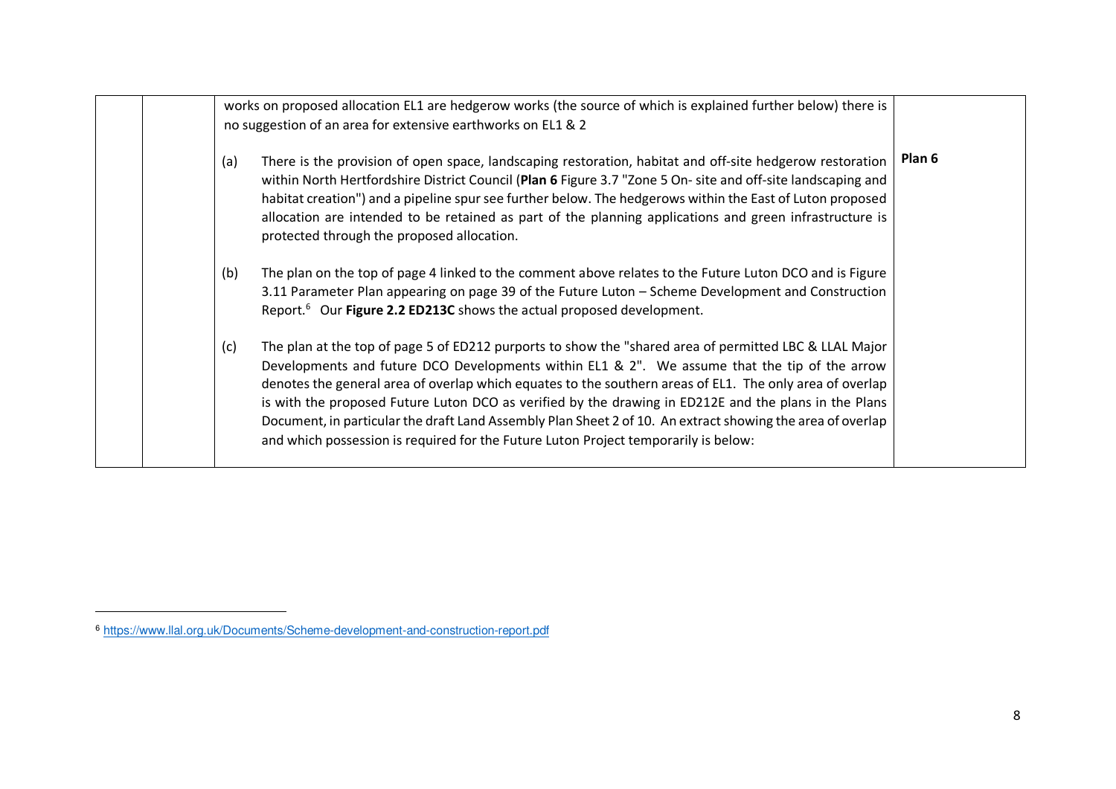|  |     | works on proposed allocation EL1 are hedgerow works (the source of which is explained further below) there is<br>no suggestion of an area for extensive earthworks on EL1 & 2                                                                                                                                                                                                                                                                                                                                                                                                                                                     |        |
|--|-----|-----------------------------------------------------------------------------------------------------------------------------------------------------------------------------------------------------------------------------------------------------------------------------------------------------------------------------------------------------------------------------------------------------------------------------------------------------------------------------------------------------------------------------------------------------------------------------------------------------------------------------------|--------|
|  | (a) | There is the provision of open space, landscaping restoration, habitat and off-site hedgerow restoration<br>within North Hertfordshire District Council (Plan 6 Figure 3.7 "Zone 5 On- site and off-site landscaping and<br>habitat creation") and a pipeline spur see further below. The hedgerows within the East of Luton proposed<br>allocation are intended to be retained as part of the planning applications and green infrastructure is<br>protected through the proposed allocation.                                                                                                                                    | Plan 6 |
|  | (b) | The plan on the top of page 4 linked to the comment above relates to the Future Luton DCO and is Figure<br>3.11 Parameter Plan appearing on page 39 of the Future Luton - Scheme Development and Construction<br>Report. <sup>6</sup> Our Figure 2.2 ED213C shows the actual proposed development.                                                                                                                                                                                                                                                                                                                                |        |
|  | (c) | The plan at the top of page 5 of ED212 purports to show the "shared area of permitted LBC & LLAL Major<br>Developments and future DCO Developments within EL1 & 2". We assume that the tip of the arrow<br>denotes the general area of overlap which equates to the southern areas of EL1. The only area of overlap<br>is with the proposed Future Luton DCO as verified by the drawing in ED212E and the plans in the Plans<br>Document, in particular the draft Land Assembly Plan Sheet 2 of 10. An extract showing the area of overlap<br>and which possession is required for the Future Luton Project temporarily is below: |        |

<sup>6</sup> https://www.llal.org.uk/Documents/Scheme-development-and-construction-report.pdf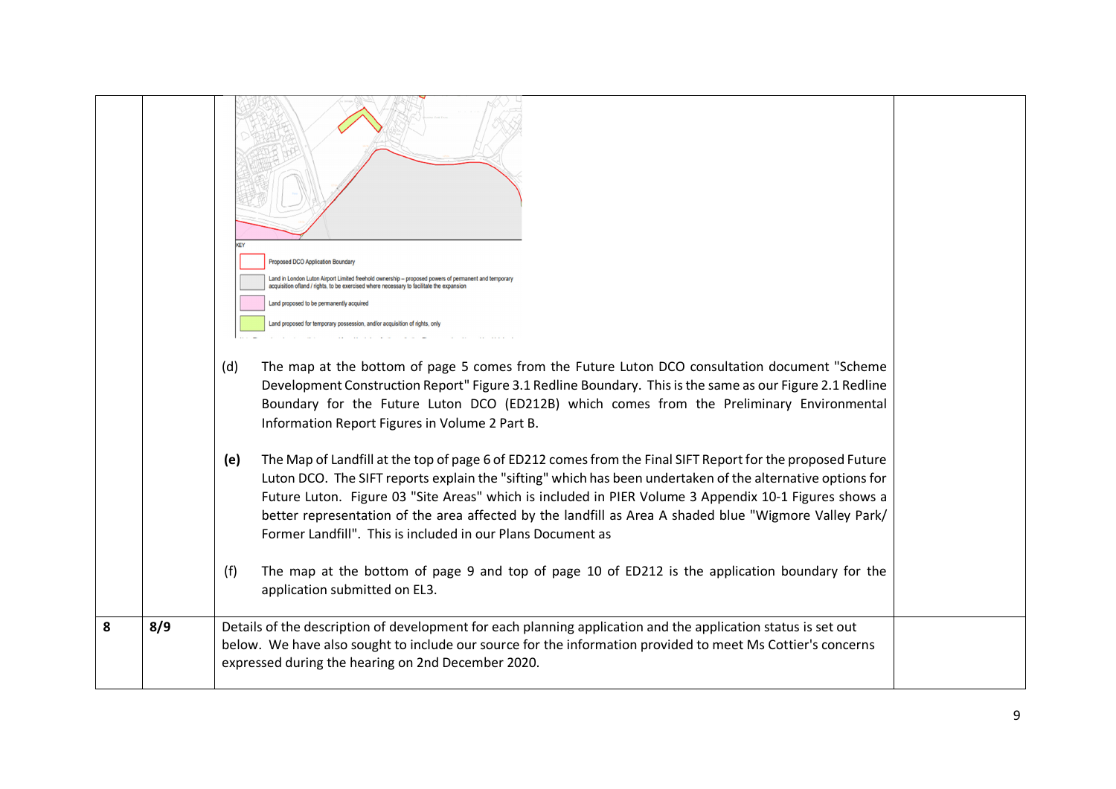|   |     | <b>Proposed DCO Application Boundary</b><br>Land in London Luton Airport Limited freehold ownership - proposed powers of permanent and temporary<br>acquisition ofland / rights, to be exercised where necessary to facilitate the expansion<br>Land proposed to be permanently acquired<br>Land proposed for temporary possession, and/or acquisition of rights, only<br>The map at the bottom of page 5 comes from the Future Luton DCO consultation document "Scheme"<br>(d)<br>Development Construction Report" Figure 3.1 Redline Boundary. This is the same as our Figure 2.1 Redline<br>Boundary for the Future Luton DCO (ED212B) which comes from the Preliminary Environmental<br>Information Report Figures in Volume 2 Part B.<br>The Map of Landfill at the top of page 6 of ED212 comes from the Final SIFT Report for the proposed Future<br>(e)<br>Luton DCO. The SIFT reports explain the "sifting" which has been undertaken of the alternative options for<br>Future Luton. Figure 03 "Site Areas" which is included in PIER Volume 3 Appendix 10-1 Figures shows a<br>better representation of the area affected by the landfill as Area A shaded blue "Wigmore Valley Park/<br>Former Landfill". This is included in our Plans Document as |  |
|---|-----|-----------------------------------------------------------------------------------------------------------------------------------------------------------------------------------------------------------------------------------------------------------------------------------------------------------------------------------------------------------------------------------------------------------------------------------------------------------------------------------------------------------------------------------------------------------------------------------------------------------------------------------------------------------------------------------------------------------------------------------------------------------------------------------------------------------------------------------------------------------------------------------------------------------------------------------------------------------------------------------------------------------------------------------------------------------------------------------------------------------------------------------------------------------------------------------------------------------------------------------------------------------------|--|
|   |     | The map at the bottom of page 9 and top of page 10 of ED212 is the application boundary for the<br>(f)<br>application submitted on EL3.                                                                                                                                                                                                                                                                                                                                                                                                                                                                                                                                                                                                                                                                                                                                                                                                                                                                                                                                                                                                                                                                                                                         |  |
| 8 | 8/9 | Details of the description of development for each planning application and the application status is set out<br>below. We have also sought to include our source for the information provided to meet Ms Cottier's concerns<br>expressed during the hearing on 2nd December 2020.                                                                                                                                                                                                                                                                                                                                                                                                                                                                                                                                                                                                                                                                                                                                                                                                                                                                                                                                                                              |  |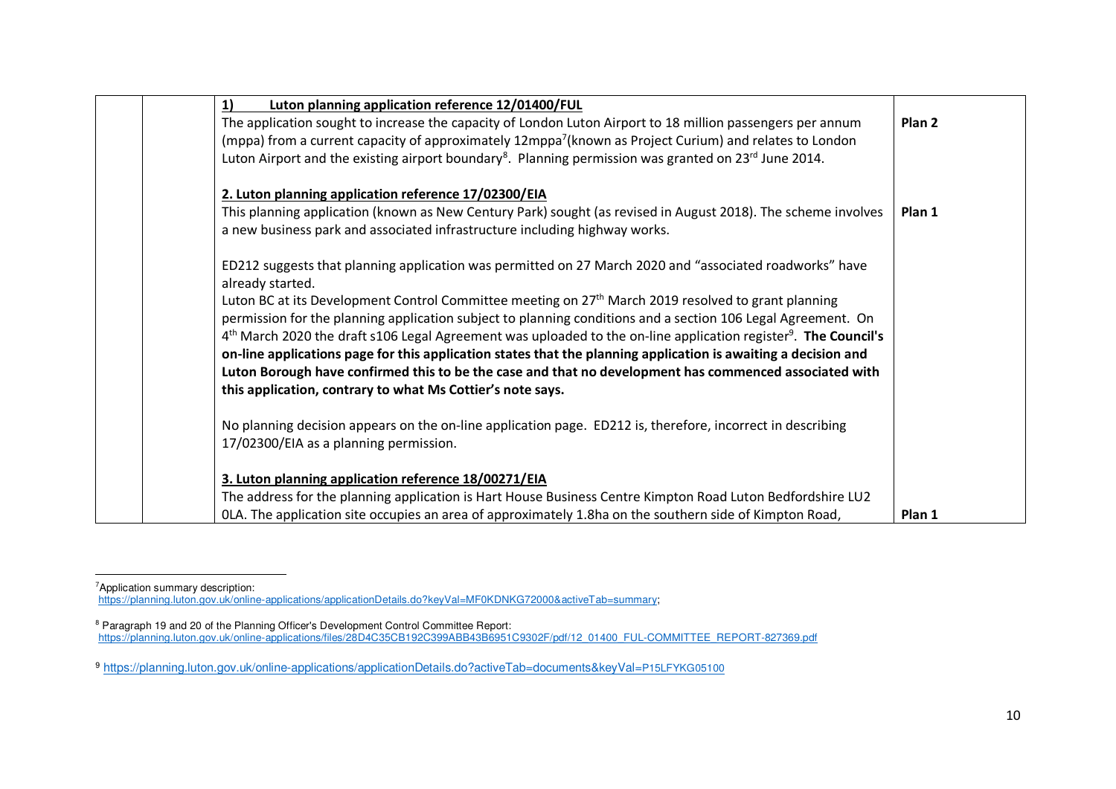| Luton planning application reference 12/01400/FUL<br>1)                                                                                 |                   |
|-----------------------------------------------------------------------------------------------------------------------------------------|-------------------|
| The application sought to increase the capacity of London Luton Airport to 18 million passengers per annum                              | Plan <sub>2</sub> |
| (mppa) from a current capacity of approximately 12mppa <sup>7</sup> (known as Project Curium) and relates to London                     |                   |
| Luton Airport and the existing airport boundary <sup>8</sup> . Planning permission was granted on 23 <sup>rd</sup> June 2014.           |                   |
| 2. Luton planning application reference 17/02300/EIA                                                                                    |                   |
| This planning application (known as New Century Park) sought (as revised in August 2018). The scheme involves                           | Plan 1            |
| a new business park and associated infrastructure including highway works.                                                              |                   |
| ED212 suggests that planning application was permitted on 27 March 2020 and "associated roadworks" have<br>already started.             |                   |
| Luton BC at its Development Control Committee meeting on 27 <sup>th</sup> March 2019 resolved to grant planning                         |                   |
| permission for the planning application subject to planning conditions and a section 106 Legal Agreement. On                            |                   |
| 4 <sup>th</sup> March 2020 the draft s106 Legal Agreement was uploaded to the on-line application register <sup>9</sup> . The Council's |                   |
| on-line applications page for this application states that the planning application is awaiting a decision and                          |                   |
| Luton Borough have confirmed this to be the case and that no development has commenced associated with                                  |                   |
| this application, contrary to what Ms Cottier's note says.                                                                              |                   |
| No planning decision appears on the on-line application page. ED212 is, therefore, incorrect in describing                              |                   |
| 17/02300/EIA as a planning permission.                                                                                                  |                   |
| 3. Luton planning application reference 18/00271/EIA                                                                                    |                   |
| The address for the planning application is Hart House Business Centre Kimpton Road Luton Bedfordshire LU2                              |                   |
| OLA. The application site occupies an area of approximately 1.8ha on the southern side of Kimpton Road,                                 | Plan 1            |

<sup>7</sup>Application summary description: https://planning.luton.gov.uk/online-applications/applicationDetails.do?keyVal=MF0KDNKG72000&activeTab=summary;

<sup>&</sup>lt;sup>8</sup> Paragraph 19 and 20 of the Planning Officer's Development Control Committee Report:<br>https://planning.luton.gov.uk/online-applications/files/28D4C35CB192C399ABB43B6951C9302F/pdf/12\_01400\_FUL-COMMITTEE\_REPORT-827369.pdf

<sup>9</sup> https://planning.luton.gov.uk/online-applications/applicationDetails.do?activeTab=documents&keyVal=P15LFYKG05100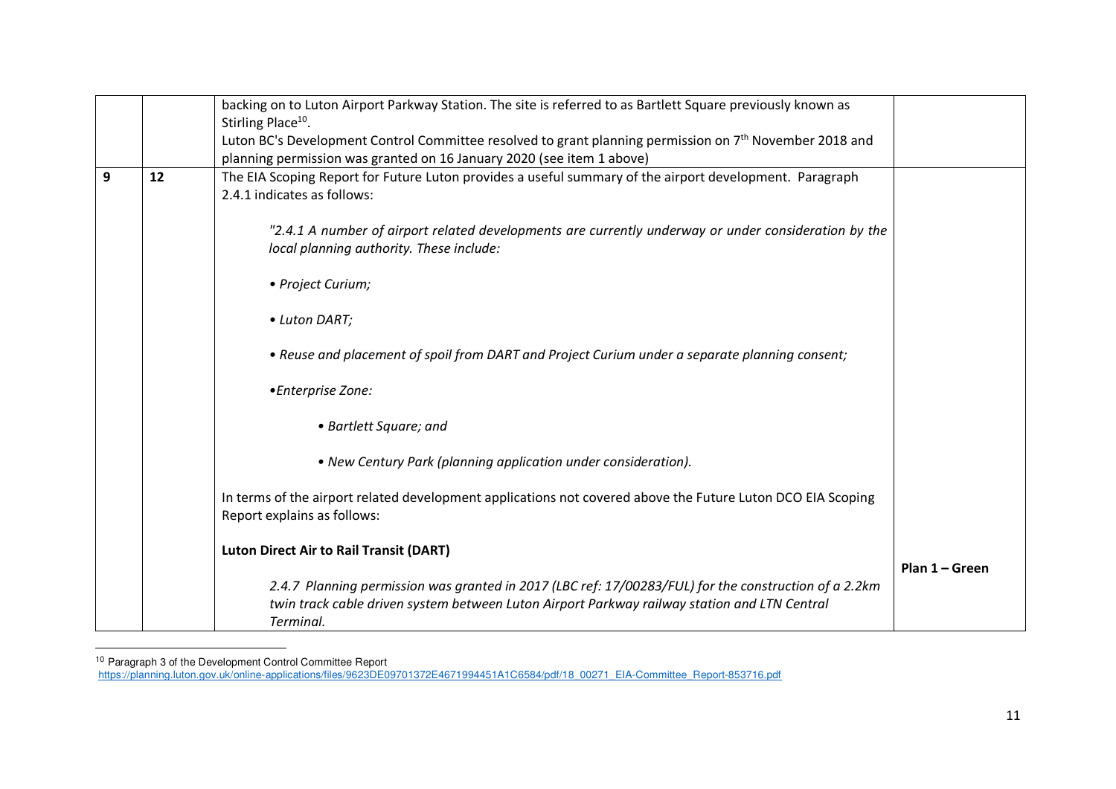|   |    | backing on to Luton Airport Parkway Station. The site is referred to as Bartlett Square previously known as<br>Stirling Place <sup>10</sup> .                                                                      |                |
|---|----|--------------------------------------------------------------------------------------------------------------------------------------------------------------------------------------------------------------------|----------------|
|   |    | Luton BC's Development Control Committee resolved to grant planning permission on 7 <sup>th</sup> November 2018 and<br>planning permission was granted on 16 January 2020 (see item 1 above)                       |                |
| 9 | 12 | The EIA Scoping Report for Future Luton provides a useful summary of the airport development. Paragraph<br>2.4.1 indicates as follows:                                                                             |                |
|   |    | "2.4.1 A number of airport related developments are currently underway or under consideration by the<br>local planning authority. These include:                                                                   |                |
|   |    | • Project Curium;                                                                                                                                                                                                  |                |
|   |    | • Luton DART;                                                                                                                                                                                                      |                |
|   |    | • Reuse and placement of spoil from DART and Project Curium under a separate planning consent;                                                                                                                     |                |
|   |    | •Enterprise Zone:                                                                                                                                                                                                  |                |
|   |    | • Bartlett Square; and                                                                                                                                                                                             |                |
|   |    | • New Century Park (planning application under consideration).                                                                                                                                                     |                |
|   |    | In terms of the airport related development applications not covered above the Future Luton DCO EIA Scoping<br>Report explains as follows:                                                                         |                |
|   |    | <b>Luton Direct Air to Rail Transit (DART)</b>                                                                                                                                                                     |                |
|   |    | 2.4.7 Planning permission was granted in 2017 (LBC ref: 17/00283/FUL) for the construction of a 2.2km<br>twin track cable driven system between Luton Airport Parkway railway station and LTN Central<br>Terminal. | Plan 1 – Green |

<sup>&</sup>lt;sup>10</sup> Paragraph 3 of the Development Control Committee Report<br>https://planning.luton.gov.uk/online-applications/files/9623DE09701372E4671994451A1C6584/pdf/18\_00271\_EIA-Committee\_Report-853716.pdf